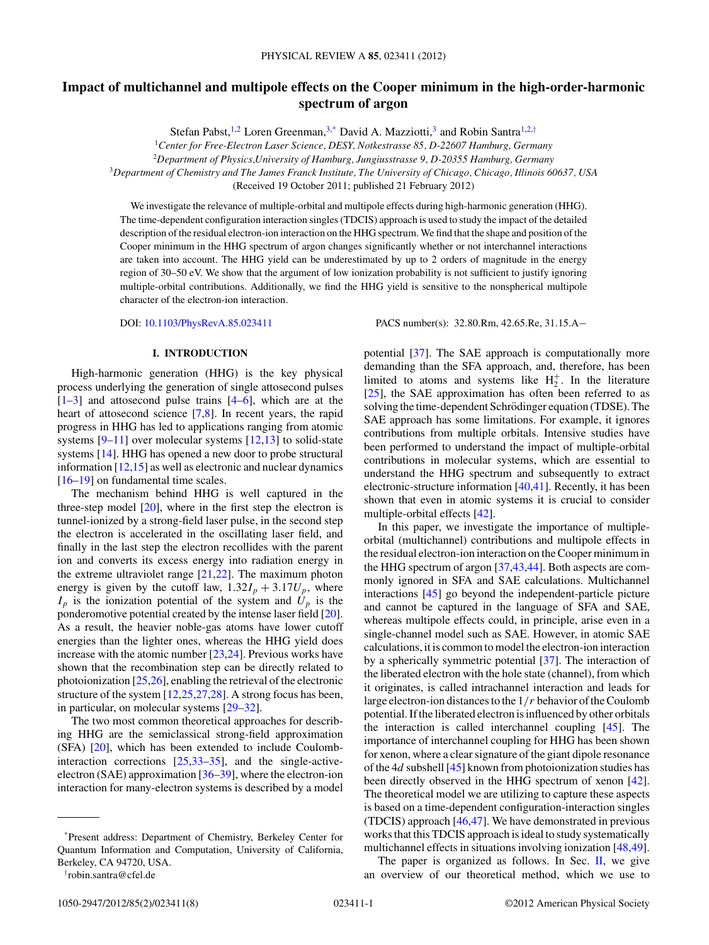# **Impact of multichannel and multipole effects on the Cooper minimum in the high-order-harmonic spectrum of argon**

Stefan Pabst,<sup>1,2</sup> Loren Greenman,<sup>3,\*</sup> David A. Mazziotti,<sup>3</sup> and Robin Santra<sup>1,2,†</sup>

<sup>1</sup>*Center for Free-Electron Laser Science, DESY, Notkestrasse 85, D-22607 Hamburg, Germany*

<sup>2</sup>*Department of Physics,University of Hamburg, Jungiusstrasse 9, D-20355 Hamburg, Germany*

<sup>3</sup>*Department of Chemistry and The James Franck Institute, The University of Chicago, Chicago, Illinois 60637, USA*

(Received 19 October 2011; published 21 February 2012)

We investigate the relevance of multiple-orbital and multipole effects during high-harmonic generation (HHG). The time-dependent configuration interaction singles (TDCIS) approach is used to study the impact of the detailed description of the residual electron-ion interaction on the HHG spectrum. We find that the shape and position of the Cooper minimum in the HHG spectrum of argon changes significantly whether or not interchannel interactions are taken into account. The HHG yield can be underestimated by up to 2 orders of magnitude in the energy region of 30–50 eV. We show that the argument of low ionization probability is not sufficient to justify ignoring multiple-orbital contributions. Additionally, we find the HHG yield is sensitive to the nonspherical multipole character of the electron-ion interaction.

DOI: [10.1103/PhysRevA.85.023411](http://dx.doi.org/10.1103/PhysRevA.85.023411) PACS number(s): 32*.*80*.*Rm, 42*.*65*.*Re, 31*.*15*.*A−

## **I. INTRODUCTION**

High-harmonic generation (HHG) is the key physical process underlying the generation of single attosecond pulses  $[1-3]$  and attosecond pulse trains  $[4-6]$ , which are at the heart of attosecond science [\[7,8\]](#page-6-0). In recent years, the rapid progress in HHG has led to applications ranging from atomic systems  $[9-11]$  over molecular systems  $[12,13]$  to solid-state systems [\[14\]](#page-6-0). HHG has opened a new door to probe structural information  $[12,15]$  as well as electronic and nuclear dynamics [\[16–19\]](#page-6-0) on fundamental time scales.

The mechanism behind HHG is well captured in the three-step model  $[20]$ , where in the first step the electron is tunnel-ionized by a strong-field laser pulse, in the second step the electron is accelerated in the oscillating laser field, and finally in the last step the electron recollides with the parent ion and converts its excess energy into radiation energy in the extreme ultraviolet range  $[21,22]$ . The maximum photon energy is given by the cutoff law,  $1.32I_p + 3.17U_p$ , where  $I_p$  is the ionization potential of the system and  $U_p$  is the ponderomotive potential created by the intense laser field [\[20\]](#page-6-0). As a result, the heavier noble-gas atoms have lower cutoff energies than the lighter ones, whereas the HHG yield does increase with the atomic number [\[23,24\]](#page-6-0). Previous works have shown that the recombination step can be directly related to photoionization [\[25,26\]](#page-6-0), enabling the retrieval of the electronic structure of the system [\[12,25,27,28\]](#page-6-0). A strong focus has been, in particular, on molecular systems [\[29–32\]](#page-6-0).

The two most common theoretical approaches for describing HHG are the semiclassical strong-field approximation (SFA) [\[20\]](#page-6-0), which has been extended to include Coulombinteraction corrections [\[25,33–35\]](#page-6-0), and the single-activeelectron (SAE) approximation [\[36–39\]](#page-6-0), where the electron-ion interaction for many-electron systems is described by a model

demanding than the SFA approach, and, therefore, has been limited to atoms and systems like  $H_2^+$ . In the literature [\[25\]](#page-6-0), the SAE approximation has often been referred to as solving the time-dependent Schrödinger equation (TDSE). The SAE approach has some limitations. For example, it ignores contributions from multiple orbitals. Intensive studies have been performed to understand the impact of multiple-orbital contributions in molecular systems, which are essential to understand the HHG spectrum and subsequently to extract electronic-structure information [\[40,41\]](#page-6-0). Recently, it has been shown that even in atomic systems it is crucial to consider multiple-orbital effects [\[42\]](#page-6-0).

potential [\[37\]](#page-6-0). The SAE approach is computationally more

In this paper, we investigate the importance of multipleorbital (multichannel) contributions and multipole effects in the residual electron-ion interaction on the Cooper minimum in the HHG spectrum of argon [\[37,43,44\]](#page-6-0). Both aspects are commonly ignored in SFA and SAE calculations. Multichannel interactions [\[45\]](#page-6-0) go beyond the independent-particle picture and cannot be captured in the language of SFA and SAE, whereas multipole effects could, in principle, arise even in a single-channel model such as SAE. However, in atomic SAE calculations, it is common to model the electron-ion interaction by a spherically symmetric potential [\[37\]](#page-6-0). The interaction of the liberated electron with the hole state (channel), from which it originates, is called intrachannel interaction and leads for large electron-ion distances to the 1*/r* behavior of the Coulomb potential. If the liberated electron is influenced by other orbitals the interaction is called interchannel coupling [\[45\]](#page-6-0). The importance of interchannel coupling for HHG has been shown for xenon, where a clear signature of the giant dipole resonance of the 4*d* subshell [\[45\]](#page-6-0) known from photoionization studies has been directly observed in the HHG spectrum of xenon [\[42\]](#page-6-0). The theoretical model we are utilizing to capture these aspects is based on a time-dependent configuration-interaction singles (TDCIS) approach [\[46,47\]](#page-6-0). We have demonstrated in previous works that this TDCIS approach is ideal to study systematically multichannel effects in situations involving ionization [\[48,](#page-6-0)[49\]](#page-7-0).

The paper is organized as follows. In Sec. [II,](#page-1-0) we give an overview of our theoretical method, which we use to

<sup>\*</sup>Present address: Department of Chemistry, Berkeley Center for Quantum Information and Computation, University of California, Berkeley, CA 94720, USA.

<sup>†</sup> robin.santra@cfel.de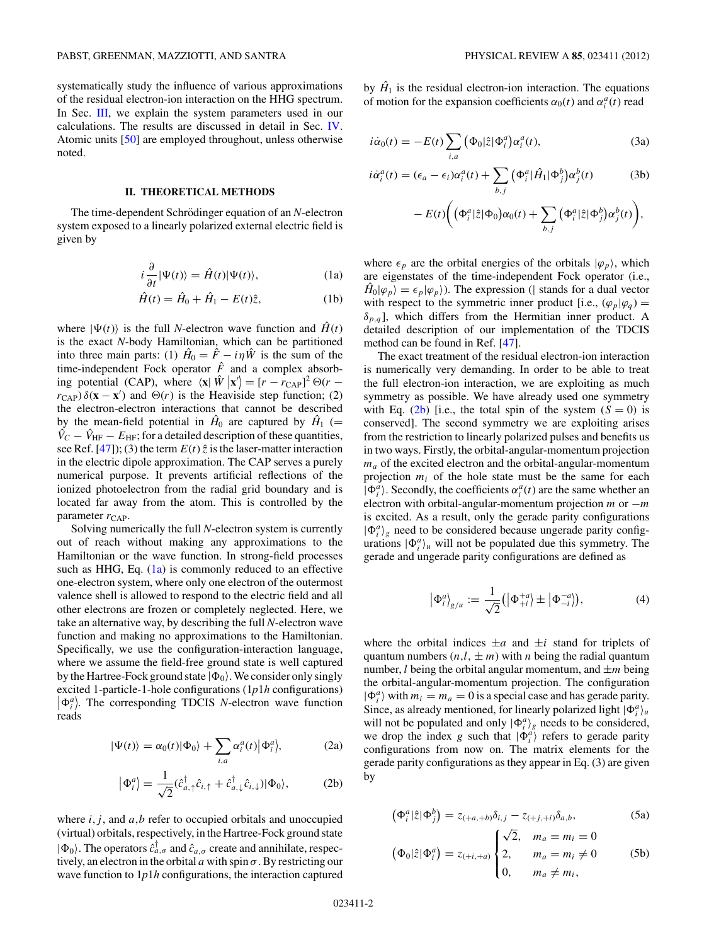<span id="page-1-0"></span>systematically study the influence of various approximations of the residual electron-ion interaction on the HHG spectrum. In Sec. [III,](#page-2-0) we explain the system parameters used in our calculations. The results are discussed in detail in Sec. [IV.](#page-3-0) Atomic units [\[50\]](#page-7-0) are employed throughout, unless otherwise noted.

## **II. THEORETICAL METHODS**

The time-dependent Schrödinger equation of an N-electron system exposed to a linearly polarized external electric field is given by

$$
i\frac{\partial}{\partial t}|\Psi(t)\rangle = \hat{H}(t)|\Psi(t)\rangle, \tag{1a}
$$

$$
\hat{H}(t) = \hat{H}_0 + \hat{H}_1 - E(t)\hat{z},
$$
 (1b)

where  $|\Psi(t)\rangle$  is the full *N*-electron wave function and  $\hat{H}(t)$ is the exact *N*-body Hamiltonian, which can be partitioned into three main parts: (1)  $\hat{H}_0 = \hat{F} - i\eta \hat{W}$  is the sum of the time-independent Fock operator  $\hat{F}$  and a complex absorbing potential (CAP), where  $\langle \mathbf{x} | \hat{W} | \mathbf{x}' \rangle = [r - r_{\text{CAP}}]^2 \Theta(r - r_{\text{MAP}}^2)$  $r_{\text{CAP}}$ )  $\delta(\mathbf{x} - \mathbf{x}')$  and  $\Theta(r)$  is the Heaviside step function; (2) the electron-electron interactions that cannot be described by the mean-field potential in  $\hat{H}_0$  are captured by  $\hat{H}_1$  (=  $\hat{V}_C - \hat{V}_{HF} - E_{HF}$ ; for a detailed description of these quantities, see Ref.  $[47]$ ; (3) the term  $E(t)$   $\hat{z}$  is the laser-matter interaction in the electric dipole approximation. The CAP serves a purely numerical purpose. It prevents artificial reflections of the ionized photoelectron from the radial grid boundary and is located far away from the atom. This is controlled by the parameter  $r_{\text{CAP}}$ .

Solving numerically the full *N*-electron system is currently out of reach without making any approximations to the Hamiltonian or the wave function. In strong-field processes such as HHG, Eq.  $(1a)$  is commonly reduced to an effective one-electron system, where only one electron of the outermost valence shell is allowed to respond to the electric field and all other electrons are frozen or completely neglected. Here, we take an alternative way, by describing the full *N*-electron wave function and making no approximations to the Hamiltonian. Specifically, we use the configuration-interaction language, where we assume the field-free ground state is well captured by the Hartree-Fock ground state  $|\Phi_0\rangle$ . We consider only singly excited 1-particle-1-hole configurations (1*p*1*h* configurations)  $\left|\Phi_i^a\right\rangle$ . The corresponding TDCIS *N*-electron wave function reads

$$
|\Psi(t)\rangle = \alpha_0(t)|\Phi_0\rangle + \sum_{i,a} \alpha_i^a(t)|\Phi_i^a\rangle, \tag{2a}
$$

$$
\left|\Phi_i^a\right\rangle = \frac{1}{\sqrt{2}} (\hat{c}_{a,\uparrow}^\dagger \hat{c}_{i,\uparrow} + \hat{c}_{a,\downarrow}^\dagger \hat{c}_{i,\downarrow}) |\Phi_0\rangle, \tag{2b}
$$

where  $i, j$ , and  $a, b$  refer to occupied orbitals and unoccupied (virtual) orbitals, respectively, in the Hartree-Fock ground state  $|\Phi_0\rangle$ . The operators  $\hat{c}_{a,\sigma}^{\dagger}$  and  $\hat{c}_{a,\sigma}$  create and annihilate, respectively, an electron in the orbital *a* with spin *σ*. By restricting our wave function to 1*p*1*h* configurations, the interaction captured by  $\hat{H}_1$  is the residual electron-ion interaction. The equations of motion for the expansion coefficients  $\alpha_0(t)$  and  $\alpha_i^a(t)$  read

$$
i\dot{\alpha}_0(t) = -E(t) \sum_{i,a} (\Phi_0|\hat{z}| \Phi_i^a) \alpha_i^a(t), \qquad (3a)
$$

$$
i\dot{\alpha}_i^a(t) = (\epsilon_a - \epsilon_i)\alpha_i^a(t) + \sum_{b,j} (\Phi_i^a | \hat{H}_1 | \Phi_j^b) \alpha_j^b(t)
$$
 (3b)

$$
- E(t) \bigg( \big( \Phi_i^a |\hat{z}| \Phi_0 \big) \alpha_0(t) + \sum_{b,j} \big( \Phi_i^a |\hat{z}| \Phi_j^b \big) \alpha_j^b(t) \bigg),
$$

where  $\epsilon_p$  are the orbital energies of the orbitals  $|\varphi_p\rangle$ , which are eigenstates of the time-independent Fock operator (i.e.,  $\hat{H}_0|\varphi_p\rangle = \epsilon_p|\varphi_p\rangle$ ). The expression (| stands for a dual vector with respect to the symmetric inner product [i.e.,  $(\varphi_p | \varphi_q)$  =  $\delta_{p,q}$ ], which differs from the Hermitian inner product. A detailed description of our implementation of the TDCIS method can be found in Ref. [\[47\]](#page-6-0).

The exact treatment of the residual electron-ion interaction is numerically very demanding. In order to be able to treat the full electron-ion interaction, we are exploiting as much symmetry as possible. We have already used one symmetry with Eq.  $(2b)$  [i.e., the total spin of the system  $(S = 0)$  is conserved]. The second symmetry we are exploiting arises from the restriction to linearly polarized pulses and benefits us in two ways. Firstly, the orbital-angular-momentum projection *ma* of the excited electron and the orbital-angular-momentum projection  $m_i$  of the hole state must be the same for each  $|\Phi_i^a\rangle$ . Secondly, the coefficients  $\alpha_i^a(t)$  are the same whether an electron with orbital-angular-momentum projection *m* or −*m* is excited. As a result, only the gerade parity configurations  $|\Phi_i^a\rangle_g$  need to be considered because ungerade parity configurations  $|\Phi_i^a\rangle_u$  will not be populated due this symmetry. The gerade and ungerade parity configurations are defined as

$$
|\Phi_i^a|_{g/u} := \frac{1}{\sqrt{2}} (|\Phi_{+i}^{+a}| \pm |\Phi_{-i}^{-a}|), \tag{4}
$$

where the orbital indices  $\pm a$  and  $\pm i$  stand for triplets of quantum numbers  $(n,l, \pm m)$  with *n* being the radial quantum number, *l* being the orbital angular momentum, and  $\pm m$  being the orbital-angular-momentum projection. The configuration  $|\Phi_i^a\rangle$  with  $m_i = m_a = 0$  is a special case and has gerade parity. Since, as already mentioned, for linearly polarized light  $|\Phi_i^a\rangle_u$ will not be populated and only  $|\Phi_i^a\rangle_g$  needs to be considered, we drop the index *g* such that  $|\Phi_i^a\rangle$  refers to gerade parity configurations from now on. The matrix elements for the gerade parity configurations as they appear in Eq. (3) are given by

$$
\left(\Phi_i^a|\hat{z}|\Phi_j^b\right) = z_{(+a, +b)}\delta_{i,j} - z_{(+j, +i)}\delta_{a,b},\tag{5a}
$$

$$
(\Phi_0|\hat{z}|\Phi_i^a) = z_{(+i, +a)} \begin{cases} \sqrt{2}, & m_a = m_i = 0\\ 2, & m_a = m_i \neq 0\\ 0, & m_a \neq m_i, \end{cases}
$$
 (5b)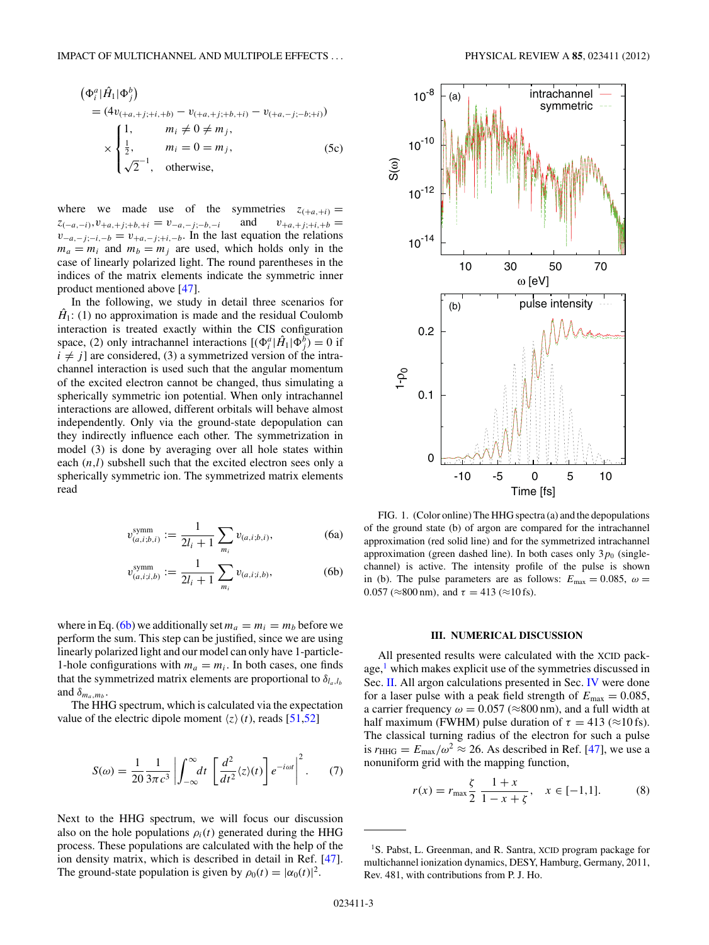<span id="page-2-0"></span>
$$
(\Phi_i^a | \hat{H}_1 | \Phi_j^b) = (4v_{(+a, +j; +i, +b)} - v_{(+a, +j; +b, +i)} - v_{(+a, -j; -b; +i)})
$$
  
\n
$$
\times \begin{cases}\n1, & m_i \neq 0 \neq m_j, \\
\frac{1}{2}, & m_i = 0 = m_j, \\
\sqrt{2}^{-1}, & \text{otherwise,} \n\end{cases}
$$
\n(5c)

where we made use of the symmetries  $z_{(-a,-i)}, v_{+a,+j;+b,+i} = v_{-a,-j;-b,-i}$  and  $v_{+a,+j;+i,b} =$  $z_{(-a,-i)}, v_{+a,+j;+b,+i} = v_{-a,-j;-b,-i}$  $v_{-a,-j;-i,-b} = v_{+a,-j;+i,-b}$ . In the last equation the relations  $m_a = m_i$  and  $m_b = m_j$  are used, which holds only in the case of linearly polarized light. The round parentheses in the indices of the matrix elements indicate the symmetric inner product mentioned above [\[47\]](#page-6-0).

In the following, we study in detail three scenarios for  $\hat{H}_1$ : (1) no approximation is made and the residual Coulomb interaction is treated exactly within the CIS configuration space, (2) only intrachannel interactions  $[(\Phi_i^a | \hat{H}_1 | \Phi_j^b) = 0$  if  $i \neq j$  are considered, (3) a symmetrized version of the intrachannel interaction is used such that the angular momentum of the excited electron cannot be changed, thus simulating a spherically symmetric ion potential. When only intrachannel interactions are allowed, different orbitals will behave almost independently. Only via the ground-state depopulation can they indirectly influence each other. The symmetrization in model (3) is done by averaging over all hole states within each  $(n,l)$  subshell such that the excited electron sees only a spherically symmetric ion. The symmetrized matrix elements read

$$
v_{(a,i;b,i)}^{\text{symm}} := \frac{1}{2l_i + 1} \sum_{m_i} v_{(a,i;b,i)},
$$
 (6a)

$$
v_{(a,i;i,b)}^{\text{symm}} := \frac{1}{2l_i + 1} \sum_{m_i} v_{(a,i;i,b)},
$$
 (6b)

where in Eq. (6b) we additionally set  $m_a = m_i = m_b$  before we perform the sum. This step can be justified, since we are using linearly polarized light and our model can only have 1-particle-1-hole configurations with  $m_a = m_i$ . In both cases, one finds that the symmetrized matrix elements are proportional to  $\delta_{l_a,l_b}$ and  $\delta_{m_a,m_b}$ .

The HHG spectrum, which is calculated via the expectation value of the electric dipole moment  $\langle z \rangle$  (*t*), reads [\[51,52\]](#page-7-0)

$$
S(\omega) = \frac{1}{20} \frac{1}{3\pi c^3} \left| \int_{-\infty}^{\infty} dt \left[ \frac{d^2}{dt^2} \langle z \rangle(t) \right] e^{-i\omega t} \right|^2. \tag{7}
$$

Next to the HHG spectrum, we will focus our discussion also on the hole populations  $\rho_i(t)$  generated during the HHG process. These populations are calculated with the help of the ion density matrix, which is described in detail in Ref. [\[47\]](#page-6-0). The ground-state population is given by  $\rho_0(t) = |\alpha_0(t)|^2$ .



FIG. 1. (Color online) The HHG spectra (a) and the depopulations of the ground state (b) of argon are compared for the intrachannel approximation (red solid line) and for the symmetrized intrachannel approximation (green dashed line). In both cases only  $3p_0$  (singlechannel) is active. The intensity profile of the pulse is shown in (b). The pulse parameters are as follows:  $E_{\text{max}} = 0.085$ ,  $\omega =$  $0.057$  ( $\approx$ 800 nm), and  $\tau = 413$  ( $\approx$ 10 fs).

#### **III. NUMERICAL DISCUSSION**

All presented results were calculated with the XCID package, $<sup>1</sup>$  which makes explicit use of the symmetries discussed in</sup> Sec. [II.](#page-1-0) All argon calculations presented in Sec. [IV](#page-3-0) were done for a laser pulse with a peak field strength of  $E_{\text{max}} = 0.085$ , a carrier frequency  $\omega = 0.057$  ( $\approx 800$  nm), and a full width at half maximum (FWHM) pulse duration of  $\tau = 413$  ( $\approx$ 10 fs). The classical turning radius of the electron for such a pulse is  $r_{\text{HHG}} = E_{\text{max}}/\omega^2 \approx 26$ . As described in Ref. [\[47\]](#page-6-0), we use a nonuniform grid with the mapping function,

$$
r(x) = r_{\text{max}} \frac{\zeta}{2} \frac{1+x}{1-x+\zeta}, \quad x \in [-1,1]. \tag{8}
$$

<sup>&</sup>lt;sup>1</sup>S. Pabst, L. Greenman, and R. Santra, XCID program package for multichannel ionization dynamics, DESY, Hamburg, Germany, 2011, Rev. 481, with contributions from P. J. Ho.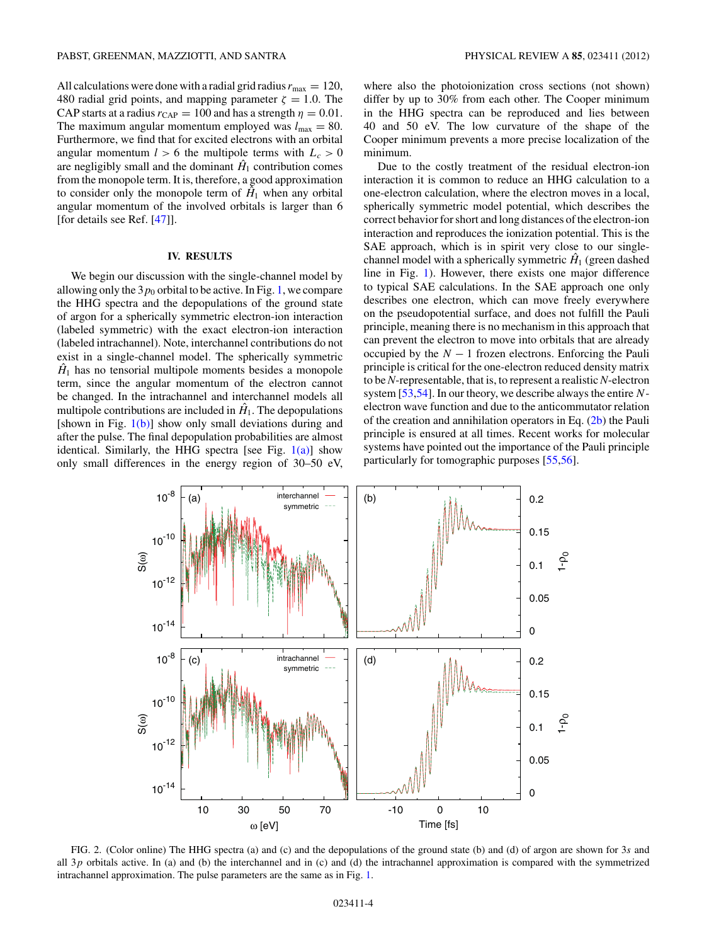<span id="page-3-0"></span>All calculations were done with a radial grid radius  $r_{\text{max}} = 120$ , 480 radial grid points, and mapping parameter  $\zeta = 1.0$ . The CAP starts at a radius  $r_{\text{CAP}} = 100$  and has a strength  $\eta = 0.01$ . The maximum angular momentum employed was  $l_{\text{max}} = 80$ . Furthermore, we find that for excited electrons with an orbital angular momentum  $l > 6$  the multipole terms with  $L_c > 0$ are negligibly small and the dominant  $H_1$  contribution comes from the monopole term. It is, therefore, a good approximation to consider only the monopole term of  $\hat{H}_1$  when any orbital angular momentum of the involved orbitals is larger than 6 [for details see Ref. [\[47\]](#page-6-0)].

# **IV. RESULTS**

We begin our discussion with the single-channel model by allowing only the  $3p_0$  orbital to be active. In Fig. [1,](#page-2-0) we compare the HHG spectra and the depopulations of the ground state of argon for a spherically symmetric electron-ion interaction (labeled symmetric) with the exact electron-ion interaction (labeled intrachannel). Note, interchannel contributions do not exist in a single-channel model. The spherically symmetric  $H_1$  has no tensorial multipole moments besides a monopole term, since the angular momentum of the electron cannot be changed. In the intrachannel and interchannel models all multipole contributions are included in  $\hat{H}_1$ . The depopulations [shown in Fig.  $1(b)$ ] show only small deviations during and after the pulse. The final depopulation probabilities are almost identical. Similarly, the HHG spectra [see Fig.  $1(a)$ ] show only small differences in the energy region of 30–50 eV, where also the photoionization cross sections (not shown) differ by up to 30% from each other. The Cooper minimum in the HHG spectra can be reproduced and lies between 40 and 50 eV. The low curvature of the shape of the Cooper minimum prevents a more precise localization of the minimum.

Due to the costly treatment of the residual electron-ion interaction it is common to reduce an HHG calculation to a one-electron calculation, where the electron moves in a local, spherically symmetric model potential, which describes the correct behavior for short and long distances of the electron-ion interaction and reproduces the ionization potential. This is the SAE approach, which is in spirit very close to our singlechannel model with a spherically symmetric  $\hat{H}_1$  (green dashed line in Fig. [1\)](#page-2-0). However, there exists one major difference to typical SAE calculations. In the SAE approach one only describes one electron, which can move freely everywhere on the pseudopotential surface, and does not fulfill the Pauli principle, meaning there is no mechanism in this approach that can prevent the electron to move into orbitals that are already occupied by the  $N - 1$  frozen electrons. Enforcing the Pauli principle is critical for the one-electron reduced density matrix to be *N*-representable, that is, to represent a realistic *N*-electron system [\[53,54\]](#page-7-0). In our theory, we describe always the entire *N*electron wave function and due to the anticommutator relation of the creation and annihilation operators in Eq. [\(2b\)](#page-1-0) the Pauli principle is ensured at all times. Recent works for molecular systems have pointed out the importance of the Pauli principle particularly for tomographic purposes [\[55,56\]](#page-7-0).



FIG. 2. (Color online) The HHG spectra (a) and (c) and the depopulations of the ground state (b) and (d) of argon are shown for 3*s* and all 3*p* orbitals active. In (a) and (b) the interchannel and in (c) and (d) the intrachannel approximation is compared with the symmetrized intrachannel approximation. The pulse parameters are the same as in Fig. [1.](#page-2-0)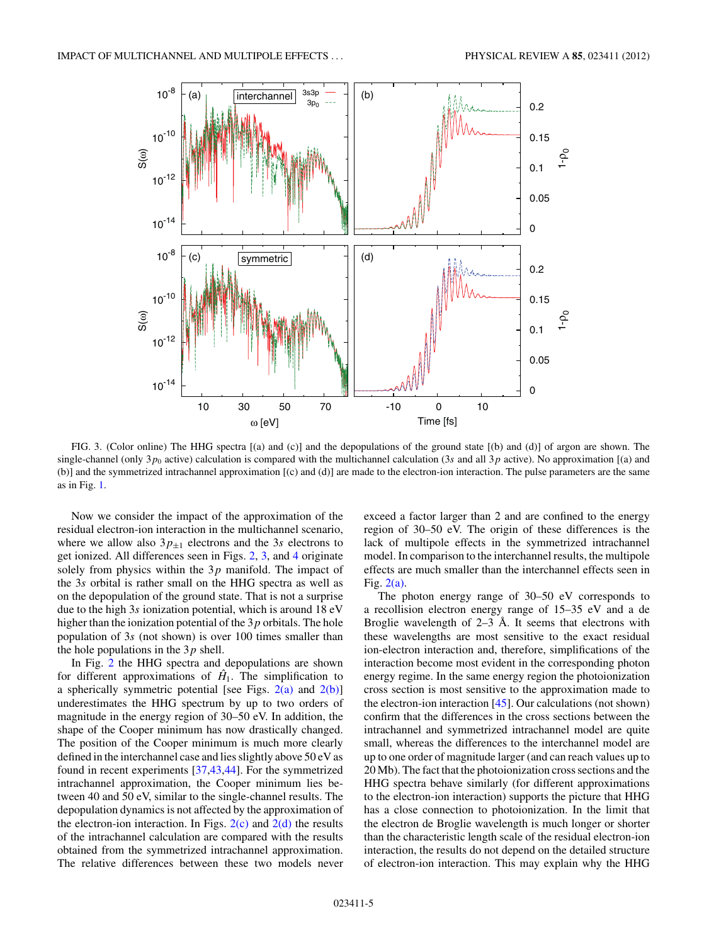<span id="page-4-0"></span>

FIG. 3. (Color online) The HHG spectra [(a) and (c)] and the depopulations of the ground state [(b) and (d)] of argon are shown. The single-channel (only  $3p_0$  active) calculation is compared with the multichannel calculation (3*s* and all  $3p$  active). No approximation [(a) and (b)] and the symmetrized intrachannel approximation [(c) and (d)] are made to the electron-ion interaction. The pulse parameters are the same as in Fig. [1.](#page-2-0)

Now we consider the impact of the approximation of the residual electron-ion interaction in the multichannel scenario, where we allow also  $3p_{\pm 1}$  electrons and the 3*s* electrons to get ionized. All differences seen in Figs. [2,](#page-3-0) 3, and [4](#page-5-0) originate solely from physics within the 3*p* manifold. The impact of the 3*s* orbital is rather small on the HHG spectra as well as on the depopulation of the ground state. That is not a surprise due to the high 3*s* ionization potential, which is around 18 eV higher than the ionization potential of the 3*p* orbitals. The hole population of 3*s* (not shown) is over 100 times smaller than the hole populations in the 3*p* shell.

In Fig. [2](#page-3-0) the HHG spectra and depopulations are shown for different approximations of  $\hat{H}_1$ . The simplification to a spherically symmetric potential [see Figs.  $2(a)$  and  $2(b)$ ] underestimates the HHG spectrum by up to two orders of magnitude in the energy region of 30–50 eV. In addition, the shape of the Cooper minimum has now drastically changed. The position of the Cooper minimum is much more clearly defined in the interchannel case and lies slightly above 50 eV as found in recent experiments [\[37,43,44\]](#page-6-0). For the symmetrized intrachannel approximation, the Cooper minimum lies between 40 and 50 eV, similar to the single-channel results. The depopulation dynamics is not affected by the approximation of the electron-ion interaction. In Figs.  $2(c)$  and  $2(d)$  the results of the intrachannel calculation are compared with the results obtained from the symmetrized intrachannel approximation. The relative differences between these two models never

exceed a factor larger than 2 and are confined to the energy region of 30–50 eV. The origin of these differences is the lack of multipole effects in the symmetrized intrachannel model. In comparison to the interchannel results, the multipole effects are much smaller than the interchannel effects seen in Fig. [2\(a\).](#page-3-0)

The photon energy range of 30–50 eV corresponds to a recollision electron energy range of 15–35 eV and a de Broglie wavelength of  $2-3$  Å. It seems that electrons with these wavelengths are most sensitive to the exact residual ion-electron interaction and, therefore, simplifications of the interaction become most evident in the corresponding photon energy regime. In the same energy region the photoionization cross section is most sensitive to the approximation made to the electron-ion interaction [\[45\]](#page-6-0). Our calculations (not shown) confirm that the differences in the cross sections between the intrachannel and symmetrized intrachannel model are quite small, whereas the differences to the interchannel model are up to one order of magnitude larger (and can reach values up to 20 Mb). The fact that the photoionization cross sections and the HHG spectra behave similarly (for different approximations to the electron-ion interaction) supports the picture that HHG has a close connection to photoionization. In the limit that the electron de Broglie wavelength is much longer or shorter than the characteristic length scale of the residual electron-ion interaction, the results do not depend on the detailed structure of electron-ion interaction. This may explain why the HHG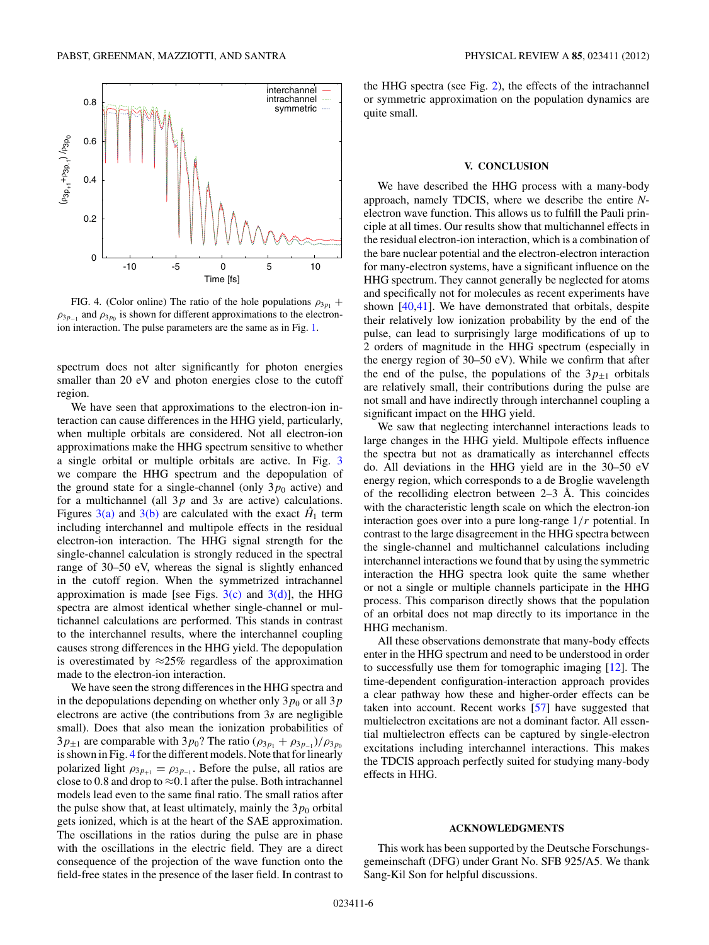<span id="page-5-0"></span>

FIG. 4. (Color online) The ratio of the hole populations  $\rho_{3p_1}$  +  $\rho_{3p-1}$  and  $\rho_{3p_0}$  is shown for different approximations to the electronion interaction. The pulse parameters are the same as in Fig. [1.](#page-2-0)

spectrum does not alter significantly for photon energies smaller than 20 eV and photon energies close to the cutoff region.

We have seen that approximations to the electron-ion interaction can cause differences in the HHG yield, particularly, when multiple orbitals are considered. Not all electron-ion approximations make the HHG spectrum sensitive to whether a single orbital or multiple orbitals are active. In Fig. [3](#page-4-0) we compare the HHG spectrum and the depopulation of the ground state for a single-channel (only  $3p_0$  active) and for a multichannel (all 3*p* and 3*s* are active) calculations. Figures  $3(a)$  and  $3(b)$  are calculated with the exact  $\hat{H}_1$  term including interchannel and multipole effects in the residual electron-ion interaction. The HHG signal strength for the single-channel calculation is strongly reduced in the spectral range of 30–50 eV, whereas the signal is slightly enhanced in the cutoff region. When the symmetrized intrachannel approximation is made [see Figs.  $3(c)$  and  $3(d)$ ], the HHG spectra are almost identical whether single-channel or multichannel calculations are performed. This stands in contrast to the interchannel results, where the interchannel coupling causes strong differences in the HHG yield. The depopulation is overestimated by  $\approx 25\%$  regardless of the approximation made to the electron-ion interaction.

We have seen the strong differences in the HHG spectra and in the depopulations depending on whether only  $3p_0$  or all  $3p$ electrons are active (the contributions from 3*s* are negligible small). Does that also mean the ionization probabilities of 3*p*<sub>±1</sub> are comparable with 3*p*<sub>0</sub>? The ratio  $(\rho_{3p_1} + \rho_{3p_{-1}})/\rho_{3p_0}$ is shown in Fig. 4 for the different models. Note that for linearly polarized light  $\rho_{3p_{+1}} = \rho_{3p_{-1}}$ . Before the pulse, all ratios are close to 0.8 and drop to  $\approx$  0.1 after the pulse. Both intrachannel models lead even to the same final ratio. The small ratios after the pulse show that, at least ultimately, mainly the  $3p_0$  orbital gets ionized, which is at the heart of the SAE approximation. The oscillations in the ratios during the pulse are in phase with the oscillations in the electric field. They are a direct consequence of the projection of the wave function onto the field-free states in the presence of the laser field. In contrast to

the HHG spectra (see Fig. [2\)](#page-3-0), the effects of the intrachannel or symmetric approximation on the population dynamics are quite small.

### **V. CONCLUSION**

We have described the HHG process with a many-body approach, namely TDCIS, where we describe the entire *N*electron wave function. This allows us to fulfill the Pauli principle at all times. Our results show that multichannel effects in the residual electron-ion interaction, which is a combination of the bare nuclear potential and the electron-electron interaction for many-electron systems, have a significant influence on the HHG spectrum. They cannot generally be neglected for atoms and specifically not for molecules as recent experiments have shown [\[40,41\]](#page-6-0). We have demonstrated that orbitals, despite their relatively low ionization probability by the end of the pulse, can lead to surprisingly large modifications of up to 2 orders of magnitude in the HHG spectrum (especially in the energy region of 30–50 eV). While we confirm that after the end of the pulse, the populations of the  $3p_{+1}$  orbitals are relatively small, their contributions during the pulse are not small and have indirectly through interchannel coupling a significant impact on the HHG yield.

We saw that neglecting interchannel interactions leads to large changes in the HHG yield. Multipole effects influence the spectra but not as dramatically as interchannel effects do. All deviations in the HHG yield are in the 30–50 eV energy region, which corresponds to a de Broglie wavelength of the recolliding electron between  $2-3$  Å. This coincides with the characteristic length scale on which the electron-ion interaction goes over into a pure long-range 1*/r* potential. In contrast to the large disagreement in the HHG spectra between the single-channel and multichannel calculations including interchannel interactions we found that by using the symmetric interaction the HHG spectra look quite the same whether or not a single or multiple channels participate in the HHG process. This comparison directly shows that the population of an orbital does not map directly to its importance in the HHG mechanism.

All these observations demonstrate that many-body effects enter in the HHG spectrum and need to be understood in order to successfully use them for tomographic imaging [\[12\]](#page-6-0). The time-dependent configuration-interaction approach provides a clear pathway how these and higher-order effects can be taken into account. Recent works [\[57\]](#page-7-0) have suggested that multielectron excitations are not a dominant factor. All essential multielectron effects can be captured by single-electron excitations including interchannel interactions. This makes the TDCIS approach perfectly suited for studying many-body effects in HHG.

#### **ACKNOWLEDGMENTS**

This work has been supported by the Deutsche Forschungsgemeinschaft (DFG) under Grant No. SFB 925/A5. We thank Sang-Kil Son for helpful discussions.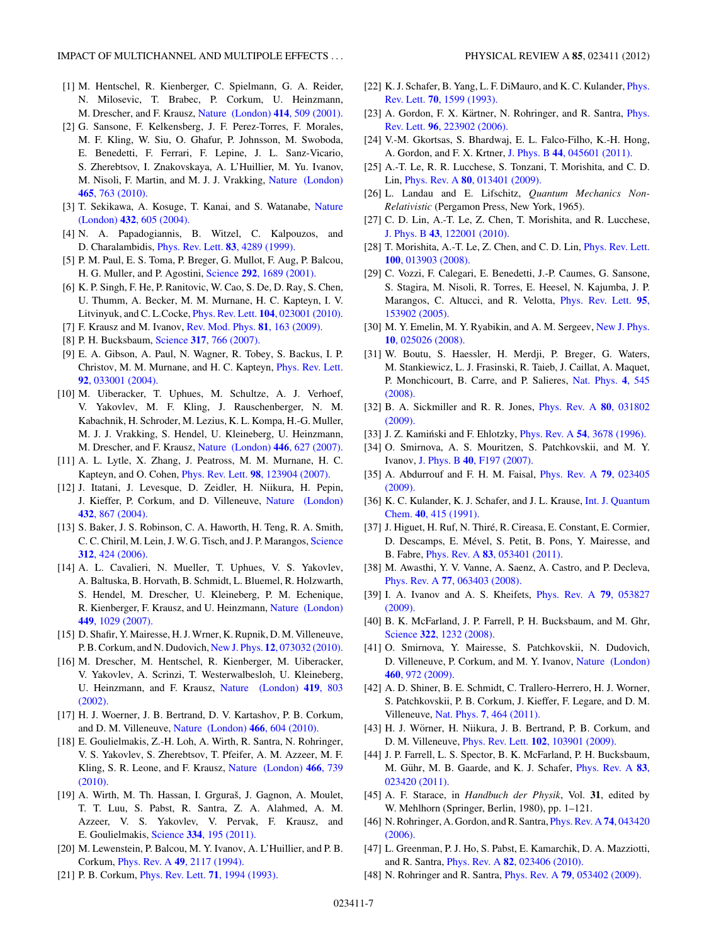- <span id="page-6-0"></span>[1] M. Hentschel, R. Kienberger, C. Spielmann, G. A. Reider, N. Milosevic, T. Brabec, P. Corkum, U. Heinzmann, M. Drescher, and F. Krausz, [Nature \(London\)](http://dx.doi.org/10.1038/35107000) **414**, 509 (2001).
- [2] G. Sansone, F. Kelkensberg, J. F. Perez-Torres, F. Morales, M. F. Kling, W. Siu, O. Ghafur, P. Johnsson, M. Swoboda, E. Benedetti, F. Ferrari, F. Lepine, J. L. Sanz-Vicario, S. Zherebtsov, I. Znakovskaya, A. L'Huillier, M. Yu. Ivanov, M. Nisoli, F. Martin, and M. J. J. Vrakking, [Nature \(London\)](http://dx.doi.org/10.1038/nature09084) **465**[, 763 \(2010\).](http://dx.doi.org/10.1038/nature09084)
- [3] T. Sekikawa, A. Kosuge, T. Kanai, and S. Watanabe, [Nature](http://dx.doi.org/10.1038/nature03108) (London) **432**[, 605 \(2004\).](http://dx.doi.org/10.1038/nature03108)
- [4] N. A. Papadogiannis, B. Witzel, C. Kalpouzos, and D. Charalambidis, [Phys. Rev. Lett.](http://dx.doi.org/10.1103/PhysRevLett.83.4289) **83**, 4289 (1999).
- [5] P. M. Paul, E. S. Toma, P. Breger, G. Mullot, F. Aug, P. Balcou, H. G. Muller, and P. Agostini, Science **292**[, 1689 \(2001\).](http://dx.doi.org/10.1126/science.1059413)
- [6] K. P. Singh, F. He, P. Ranitovic, W. Cao, S. De, D. Ray, S. Chen, U. Thumm, A. Becker, M. M. Murnane, H. C. Kapteyn, I. V. Litvinyuk, and C. L.Cocke, Phys. Rev. Lett. **104**[, 023001 \(2010\).](http://dx.doi.org/10.1103/PhysRevLett.104.023001)
- [7] F. Krausz and M. Ivanov, [Rev. Mod. Phys.](http://dx.doi.org/10.1103/RevModPhys.81.163) **81**, 163 (2009).
- [8] P. H. Bucksbaum, Science **317**[, 766 \(2007\).](http://dx.doi.org/10.1126/science.1142135)
- [9] E. A. Gibson, A. Paul, N. Wagner, R. Tobey, S. Backus, I. P. Christov, M. M. Murnane, and H. C. Kapteyn, [Phys. Rev. Lett.](http://dx.doi.org/10.1103/PhysRevLett.92.033001) **92**[, 033001 \(2004\).](http://dx.doi.org/10.1103/PhysRevLett.92.033001)
- [10] M. Uiberacker, T. Uphues, M. Schultze, A. J. Verhoef, V. Yakovlev, M. F. Kling, J. Rauschenberger, N. M. Kabachnik, H. Schroder, M. Lezius, K. L. Kompa, H.-G. Muller, M. J. J. Vrakking, S. Hendel, U. Kleineberg, U. Heinzmann, M. Drescher, and F. Krausz, [Nature \(London\)](http://dx.doi.org/10.1038/nature05648) **446**, 627 (2007).
- [11] A. L. Lytle, X. Zhang, J. Peatross, M. M. Murnane, H. C. Kapteyn, and O. Cohen, Phys. Rev. Lett. **98**[, 123904 \(2007\).](http://dx.doi.org/10.1103/PhysRevLett.98.123904)
- [12] J. Itatani, J. Levesque, D. Zeidler, H. Niikura, H. Pepin, J. Kieffer, P. Corkum, and D. Villeneuve, [Nature \(London\)](http://dx.doi.org/10.1038/nature03183) **432**[, 867 \(2004\).](http://dx.doi.org/10.1038/nature03183)
- [13] S. Baker, J. S. Robinson, C. A. Haworth, H. Teng, R. A. Smith, C. C. Chiril, M. Lein, J. W. G. Tisch, and J. P. Marangos, [Science](http://dx.doi.org/10.1126/science.1123904) **312**[, 424 \(2006\).](http://dx.doi.org/10.1126/science.1123904)
- [14] A. L. Cavalieri, N. Mueller, T. Uphues, V. S. Yakovlev, A. Baltuska, B. Horvath, B. Schmidt, L. Bluemel, R. Holzwarth, S. Hendel, M. Drescher, U. Kleineberg, P. M. Echenique, R. Kienberger, F. Krausz, and U. Heinzmann, [Nature \(London\)](http://dx.doi.org/10.1038/nature06229) **449**[, 1029 \(2007\).](http://dx.doi.org/10.1038/nature06229)
- [15] D. Shafir, Y. Mairesse, H. J. Wrner, K. Rupnik, D. M. Villeneuve, P. B. Corkum, and N. Dudovich, New J. Phys. **12**[, 073032 \(2010\).](http://dx.doi.org/10.1088/1367-2630/12/7/073032)
- [16] M. Drescher, M. Hentschel, R. Kienberger, M. Uiberacker, V. Yakovlev, A. Scrinzi, T. Westerwalbesloh, U. Kleineberg, U. Heinzmann, and F. Krausz, [Nature \(London\)](http://dx.doi.org/10.1038/nature01143) **419**, 803 [\(2002\).](http://dx.doi.org/10.1038/nature01143)
- [17] H. J. Woerner, J. B. Bertrand, D. V. Kartashov, P. B. Corkum, and D. M. Villeneuve, [Nature \(London\)](http://dx.doi.org/10.1038/nature09185) **466**, 604 (2010).
- [18] E. Goulielmakis, Z.-H. Loh, A. Wirth, R. Santra, N. Rohringer, V. S. Yakovlev, S. Zherebtsov, T. Pfeifer, A. M. Azzeer, M. F. Kling, S. R. Leone, and F. Krausz, [Nature \(London\)](http://dx.doi.org/10.1038/nature09212) **466**, 739 [\(2010\).](http://dx.doi.org/10.1038/nature09212)
- [19] A. Wirth, M. Th. Hassan, I. Grguraš, J. Gagnon, A. Moulet, T. T. Luu, S. Pabst, R. Santra, Z. A. Alahmed, A. M. Azzeer, V. S. Yakovlev, V. Pervak, F. Krausz, and E. Goulielmakis, Science **334**[, 195 \(2011\).](http://dx.doi.org/10.1126/science.1210268)
- [20] M. Lewenstein, P. Balcou, M. Y. Ivanov, A. L'Huillier, and P. B. Corkum, Phys. Rev. A **49**[, 2117 \(1994\).](http://dx.doi.org/10.1103/PhysRevA.49.2117)
- [21] P. B. Corkum, [Phys. Rev. Lett.](http://dx.doi.org/10.1103/PhysRevLett.71.1994) **71**, 1994 (1993).
- [22] K. J. Schafer, B. Yang, L. F. DiMauro, and K. C. Kulander, *[Phys.](http://dx.doi.org/10.1103/PhysRevLett.70.1599)* Rev. Lett. **70**[, 1599 \(1993\).](http://dx.doi.org/10.1103/PhysRevLett.70.1599)
- [23] A. Gordon, F. X. Kärtner, N. Rohringer, and R. Santra, *[Phys.](http://dx.doi.org/10.1103/PhysRevLett.96.223902)* Rev. Lett. **96**[, 223902 \(2006\).](http://dx.doi.org/10.1103/PhysRevLett.96.223902)
- [24] V.-M. Gkortsas, S. Bhardwaj, E. L. Falco-Filho, K.-H. Hong, A. Gordon, and F. X. Krtner, J. Phys. B **44**[, 045601 \(2011\).](http://dx.doi.org/10.1088/0953-4075/44/4/045601)
- [25] A.-T. Le, R. R. Lucchese, S. Tonzani, T. Morishita, and C. D. Lin, Phys. Rev. A **80**[, 013401 \(2009\).](http://dx.doi.org/10.1103/PhysRevA.80.013401)
- [26] L. Landau and E. Lifschitz, *Quantum Mechanics Non-Relativistic* (Pergamon Press, New York, 1965).
- [27] C. D. Lin, A.-T. Le, Z. Chen, T. Morishita, and R. Lucchese, J. Phys. B **43**[, 122001 \(2010\).](http://dx.doi.org/10.1088/0953-4075/43/12/122001)
- [28] T. Morishita, A.-T. Le, Z. Chen, and C. D. Lin, [Phys. Rev. Lett.](http://dx.doi.org/10.1103/PhysRevLett.100.013903) **100**[, 013903 \(2008\).](http://dx.doi.org/10.1103/PhysRevLett.100.013903)
- [29] C. Vozzi, F. Calegari, E. Benedetti, J.-P. Caumes, G. Sansone, S. Stagira, M. Nisoli, R. Torres, E. Heesel, N. Kajumba, J. P. Marangos, C. Altucci, and R. Velotta, [Phys. Rev. Lett.](http://dx.doi.org/10.1103/PhysRevLett.95.153902) **95**, [153902 \(2005\).](http://dx.doi.org/10.1103/PhysRevLett.95.153902)
- [30] M. Y. Emelin, M. Y. Ryabikin, and A. M. Sergeev, [New J. Phys.](http://dx.doi.org/10.1088/1367-2630/10/2/025026) **10**[, 025026 \(2008\).](http://dx.doi.org/10.1088/1367-2630/10/2/025026)
- [31] W. Boutu, S. Haessler, H. Merdji, P. Breger, G. Waters, M. Stankiewicz, L. J. Frasinski, R. Taieb, J. Caillat, A. Maquet, P. Monchicourt, B. Carre, and P. Salieres, [Nat. Phys.](http://dx.doi.org/10.1038/nphys964) **4**, 545 [\(2008\).](http://dx.doi.org/10.1038/nphys964)
- [32] B. A. Sickmiller and R. R. Jones, [Phys. Rev. A](http://dx.doi.org/10.1103/PhysRevA.80.031802) **80**, 031802 [\(2009\).](http://dx.doi.org/10.1103/PhysRevA.80.031802)
- [33] J. Z. Kamiński and F. Ehlotzky, *Phys. Rev. A* 54[, 3678 \(1996\).](http://dx.doi.org/10.1103/PhysRevA.54.3678)
- [34] O. Smirnova, A. S. Mouritzen, S. Patchkovskii, and M. Y. Ivanov, J. Phys. B **40**[, F197 \(2007\).](http://dx.doi.org/10.1088/0953-4075/40/13/F01)
- [35] A. Abdurrouf and F. H. M. Faisal, [Phys. Rev. A](http://dx.doi.org/10.1103/PhysRevA.79.023405) **79**, 023405 [\(2009\).](http://dx.doi.org/10.1103/PhysRevA.79.023405)
- [36] K. C. Kulander, K. J. Schafer, and J. L. Krause, [Int. J. Quantum](http://dx.doi.org/10.1002/qua.560400839) Chem. **40**[, 415 \(1991\).](http://dx.doi.org/10.1002/qua.560400839)
- [37] J. Higuet, H. Ruf, N. Thiré, R. Cireasa, E. Constant, E. Cormier, D. Descamps, E. Mével, S. Petit, B. Pons, Y. Mairesse, and B. Fabre, Phys. Rev. A **83**[, 053401 \(2011\).](http://dx.doi.org/10.1103/PhysRevA.83.053401)
- [38] M. Awasthi, Y. V. Vanne, A. Saenz, A. Castro, and P. Decleva, Phys. Rev. A **77**[, 063403 \(2008\).](http://dx.doi.org/10.1103/PhysRevA.77.063403)
- [39] I. A. Ivanov and A. S. Kheifets, [Phys. Rev. A](http://dx.doi.org/10.1103/PhysRevA.79.053827) **79**, 053827 [\(2009\).](http://dx.doi.org/10.1103/PhysRevA.79.053827)
- [40] B. K. McFarland, J. P. Farrell, P. H. Bucksbaum, and M. Ghr, Science **322**[, 1232 \(2008\).](http://dx.doi.org/10.1126/science.1162780)
- [41] O. Smirnova, Y. Mairesse, S. Patchkovskii, N. Dudovich, D. Villeneuve, P. Corkum, and M. Y. Ivanov, [Nature \(London\)](http://dx.doi.org/10.1038/nature08253) **460**[, 972 \(2009\).](http://dx.doi.org/10.1038/nature08253)
- [42] A. D. Shiner, B. E. Schmidt, C. Trallero-Herrero, H. J. Worner, S. Patchkovskii, P. B. Corkum, J. Kieffer, F. Legare, and D. M. Villeneuve, Nat. Phys. **7**[, 464 \(2011\).](http://dx.doi.org/10.1038/nphys1940)
- [43] H. J. Wörner, H. Niikura, J. B. Bertrand, P. B. Corkum, and D. M. Villeneuve, Phys. Rev. Lett. **102**[, 103901 \(2009\).](http://dx.doi.org/10.1103/PhysRevLett.102.103901)
- [44] J. P. Farrell, L. S. Spector, B. K. McFarland, P. H. Bucksbaum, M. Gühr, M. B. Gaarde, and K. J. Schafer, *[Phys. Rev. A](http://dx.doi.org/10.1103/PhysRevA.83.023420)* 83, [023420 \(2011\).](http://dx.doi.org/10.1103/PhysRevA.83.023420)
- [45] A. F. Starace, in *Handbuch der Physik*, Vol. **31**, edited by W. Mehlhorn (Springer, Berlin, 1980), pp. 1–121.
- [46] N. Rohringer, A. Gordon, and R. Santra, [Phys. Rev. A](http://dx.doi.org/10.1103/PhysRevA.74.043420) **74**, 043420 [\(2006\).](http://dx.doi.org/10.1103/PhysRevA.74.043420)
- [47] L. Greenman, P. J. Ho, S. Pabst, E. Kamarchik, D. A. Mazziotti, and R. Santra, Phys. Rev. A **82**[, 023406 \(2010\).](http://dx.doi.org/10.1103/PhysRevA.82.023406)
- [48] N. Rohringer and R. Santra, Phys. Rev. A **79**[, 053402 \(2009\).](http://dx.doi.org/10.1103/PhysRevA.79.053402)